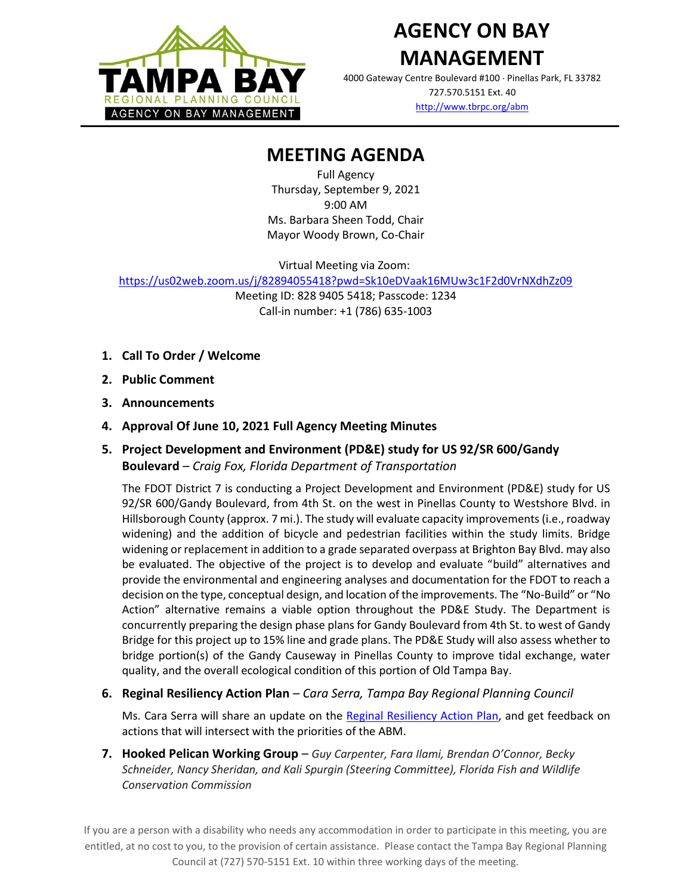

4000 Gateway Centre Boulevard #100 Pinellas Park, FL 33782 727.570.5151 Ext. 40

<http://www.tbrpc.org/abm>

# **MEETING AGENDA**

Full Agency Thursday, September 9, 2021 9:00 AM Ms. Barbara Sheen Todd, Chair Mayor Woody Brown, Co-Chair

Virtual Meeting via Zoom:

<https://us02web.zoom.us/j/82894055418?pwd=Sk10eDVaak16MUw3c1F2d0VrNXdhZz09>

Meeting ID: 828 9405 5418; Passcode: 1234 Call-in number: +1 (786) 635-1003

- **1. Call To Order / Welcome**
- **2. Public Comment**
- **3. Announcements**
- **4. Approval Of June 10, 2021 Full Agency Meeting Minutes**
- **5. Project Development and Environment (PD&E) study for US 92/SR 600/Gandy Boulevard** – *Craig Fox, Florida Department of Transportation*

The FDOT District 7 is conducting a Project Development and Environment (PD&E) study for US 92/SR 600/Gandy Boulevard, from 4th St. on the west in Pinellas County to Westshore Blvd. in Hillsborough County (approx. 7 mi.). The study will evaluate capacity improvements (i.e., roadway widening) and the addition of bicycle and pedestrian facilities within the study limits. Bridge widening or replacement in addition to a grade separated overpass at Brighton Bay Blvd. may also be evaluated. The objective of the project is to develop and evaluate "build" alternatives and provide the environmental and engineering analyses and documentation for the FDOT to reach a decision on the type, conceptual design, and location of the improvements. The "No-Build" or "No Action" alternative remains a viable option throughout the PD&E Study. The Department is concurrently preparing the design phase plans for Gandy Boulevard from 4th St. to west of Gandy Bridge for this project up to 15% line and grade plans. The PD&E Study will also assess whether to bridge portion(s) of the Gandy Causeway in Pinellas County to improve tidal exchange, water quality, and the overall ecological condition of this portion of Old Tampa Bay.

**6. Reginal Resiliency Action Plan** – *Cara Serra, Tampa Bay Regional Planning Council*

Ms. Cara Serra will share an update on the [Reginal Resiliency Action Plan,](https://www.tbrpc.org/resiliencyplan/resiliency-action-plan-draft/) and get feedback on actions that will intersect with the priorities of the ABM.

**7. Hooked Pelican Working Group** – *Guy Carpenter, Fara Ilami, Brendan O'Connor, Becky Schneider, Nancy Sheridan, and Kali Spurgin (Steering Committee), Florida Fish and Wildlife Conservation Commission*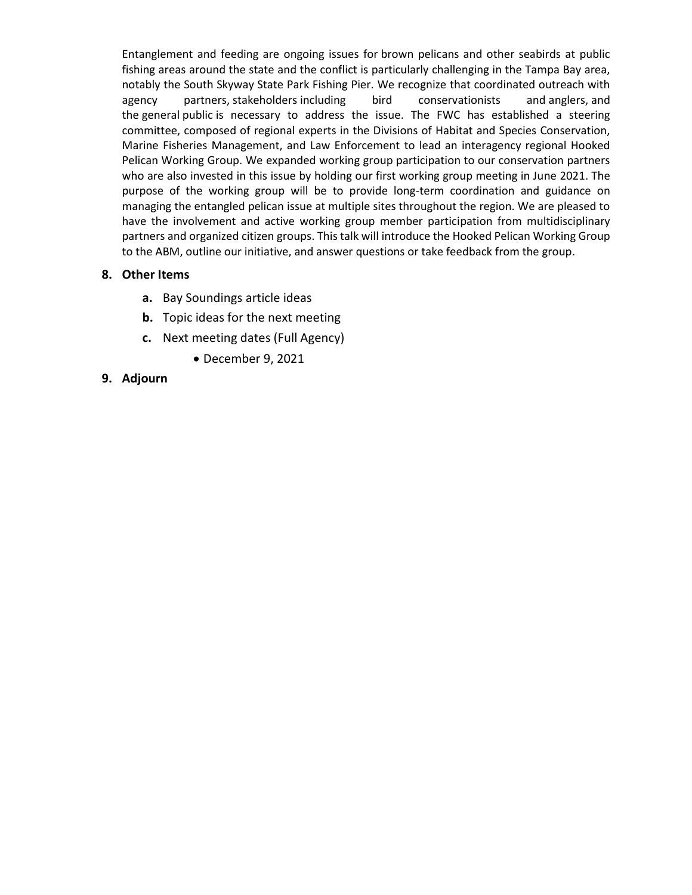Entanglement and feeding are ongoing issues for brown pelicans and other seabirds at public fishing areas around the state and the conflict is particularly challenging in the Tampa Bay area, notably the South Skyway State Park Fishing Pier. We recognize that coordinated outreach with agency partners, stakeholders including bird conservationists and anglers, and the general public is necessary to address the issue. The FWC has established a steering committee, composed of regional experts in the Divisions of Habitat and Species Conservation, Marine Fisheries Management, and Law Enforcement to lead an interagency regional Hooked Pelican Working Group. We expanded working group participation to our conservation partners who are also invested in this issue by holding our first working group meeting in June 2021. The purpose of the working group will be to provide long-term coordination and guidance on managing the entangled pelican issue at multiple sites throughout the region. We are pleased to have the involvement and active working group member participation from multidisciplinary partners and organized citizen groups. This talk will introduce the Hooked Pelican Working Group to the ABM, outline our initiative, and answer questions or take feedback from the group.

#### **8. Other Items**

- **a.** Bay Soundings article ideas
- **b.** Topic ideas for the next meeting
- **c.** Next meeting dates (Full Agency)
	- December 9, 2021
- **9. Adjourn**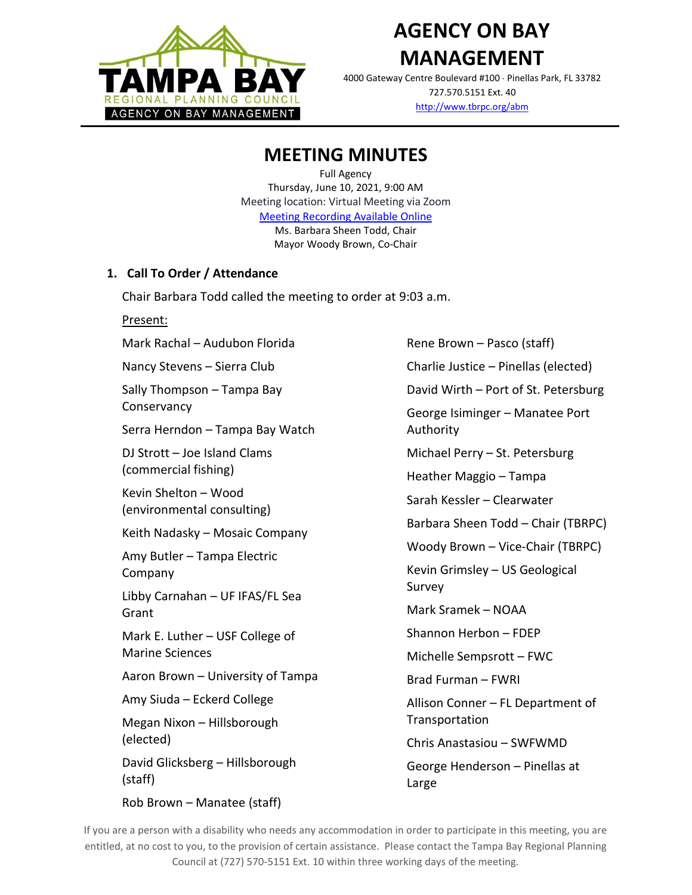

4000 Gateway Centre Boulevard #100 Pinellas Park, FL 33782 727.570.5151 Ext. 40 <http://www.tbrpc.org/abm>

# **MEETING MINUTES**

Full Agency Thursday, June 10, 2021, 9:00 AM Meeting location: Virtual Meeting via Zoom [Meeting Recording Available Online](https://youtu.be/Qrkq1mOrXSE) Ms. Barbara Sheen Todd, Chair Mayor Woody Brown, Co-Chair

# **1. Call To Order / Attendance**

Chair Barbara Todd called the meeting to order at 9:03 a.m.

#### Present:

Mark Rachal – Audubon Florida Nancy Stevens – Sierra Club Sally Thompson – Tampa Bay

**Conservancy** 

Serra Herndon – Tampa Bay Watch

DJ Strott – Joe Island Clams (commercial fishing)

Kevin Shelton – Wood (environmental consulting)

Keith Nadasky – Mosaic Company

Amy Butler – Tampa Electric Company

Libby Carnahan – UF IFAS/FL Sea Grant

Mark E. Luther – USF College of Marine Sciences

Aaron Brown – University of Tampa

Amy Siuda – Eckerd College

Megan Nixon – Hillsborough (elected)

David Glicksberg – Hillsborough (staff)

Rob Brown – Manatee (staff)

Rene Brown – Pasco (staff) Charlie Justice – Pinellas (elected) David Wirth – Port of St. Petersburg George Isiminger – Manatee Port Authority Michael Perry – St. Petersburg Heather Maggio – Tampa Sarah Kessler – Clearwater Barbara Sheen Todd – Chair (TBRPC) Woody Brown – Vice-Chair (TBRPC) Kevin Grimsley – US Geological Survey Mark Sramek – NOAA Shannon Herbon – FDEP Michelle Sempsrott – FWC Brad Furman – FWRI Allison Conner – FL Department of **Transportation** Chris Anastasiou – SWFWMD George Henderson – Pinellas at Large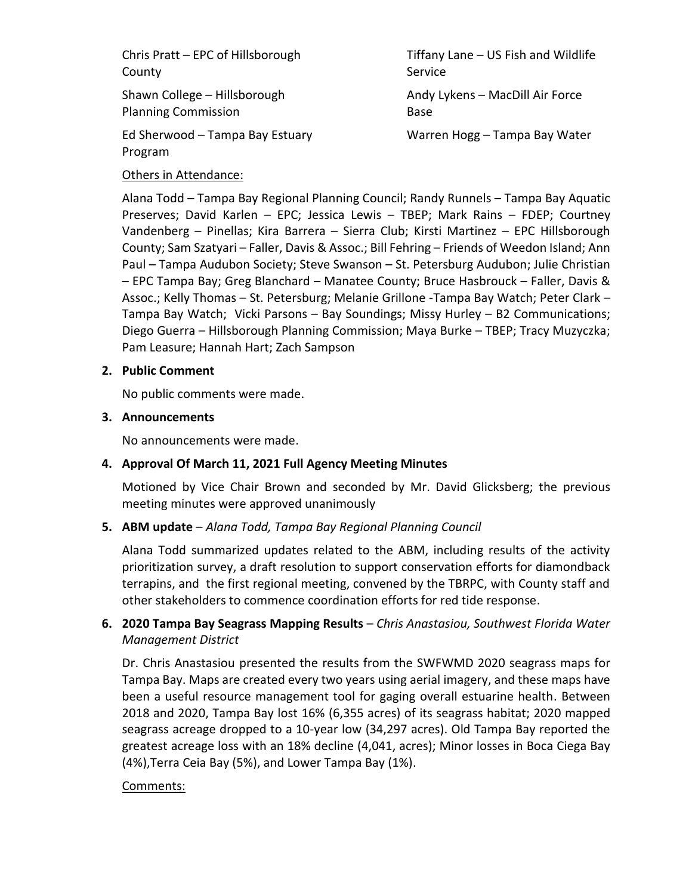Chris Pratt – EPC of Hillsborough County

Shawn College – Hillsborough Planning Commission

Ed Sherwood – Tampa Bay Estuary Program

Tiffany Lane – US Fish and Wildlife Service

Andy Lykens – MacDill Air Force Base

Warren Hogg – Tampa Bay Water

# Others in Attendance:

Alana Todd – Tampa Bay Regional Planning Council; Randy Runnels – Tampa Bay Aquatic Preserves; David Karlen – EPC; Jessica Lewis – TBEP; Mark Rains – FDEP; Courtney Vandenberg – Pinellas; Kira Barrera – Sierra Club; Kirsti Martinez – EPC Hillsborough County; Sam Szatyari – Faller, Davis & Assoc.; Bill Fehring – Friends of Weedon Island; Ann Paul – Tampa Audubon Society; Steve Swanson – St. Petersburg Audubon; Julie Christian – EPC Tampa Bay; Greg Blanchard – Manatee County; Bruce Hasbrouck – Faller, Davis & Assoc.; Kelly Thomas – St. Petersburg; Melanie Grillone -Tampa Bay Watch; Peter Clark – Tampa Bay Watch; Vicki Parsons – Bay Soundings; Missy Hurley – B2 Communications; Diego Guerra – Hillsborough Planning Commission; Maya Burke – TBEP; Tracy Muzyczka; Pam Leasure; Hannah Hart; Zach Sampson

# **2. Public Comment**

No public comments were made.

#### **3. Announcements**

No announcements were made.

# **4. Approval Of March 11, 2021 Full Agency Meeting Minutes**

Motioned by Vice Chair Brown and seconded by Mr. David Glicksberg; the previous meeting minutes were approved unanimously

# **5. ABM update** – *Alana Todd, Tampa Bay Regional Planning Council*

Alana Todd summarized updates related to the ABM, including results of the activity prioritization survey, a draft resolution to support conservation efforts for diamondback terrapins, and the first regional meeting, convened by the TBRPC, with County staff and other stakeholders to commence coordination efforts for red tide response.

# **6. 2020 Tampa Bay Seagrass Mapping Results** – *Chris Anastasiou, Southwest Florida Water Management District*

Dr. Chris Anastasiou presented the results from the SWFWMD 2020 seagrass maps for Tampa Bay. Maps are created every two years using aerial imagery, and these maps have been a useful resource management tool for gaging overall estuarine health. Between 2018 and 2020, Tampa Bay lost 16% (6,355 acres) of its seagrass habitat; 2020 mapped seagrass acreage dropped to a 10-year low (34,297 acres). Old Tampa Bay reported the greatest acreage loss with an 18% decline (4,041, acres); Minor losses in Boca Ciega Bay (4%),Terra Ceia Bay (5%), and Lower Tampa Bay (1%).

# Comments: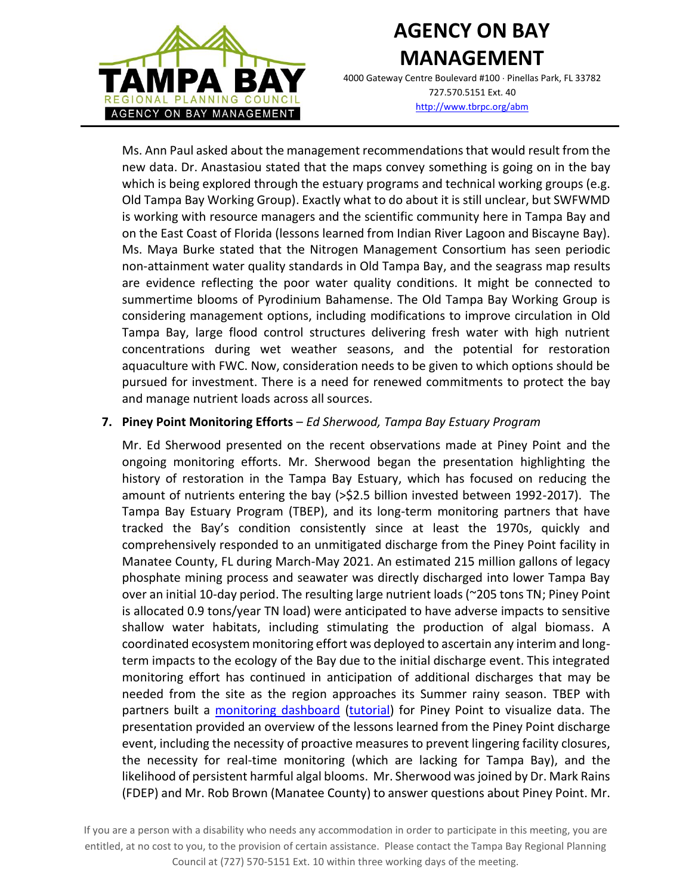

4000 Gateway Centre Boulevard #100 Pinellas Park, FL 33782 727.570.5151 Ext. 40 <http://www.tbrpc.org/abm>

Ms. Ann Paul asked about the management recommendations that would result from the new data. Dr. Anastasiou stated that the maps convey something is going on in the bay which is being explored through the estuary programs and technical working groups (e.g. Old Tampa Bay Working Group). Exactly what to do about it is still unclear, but SWFWMD is working with resource managers and the scientific community here in Tampa Bay and on the East Coast of Florida (lessons learned from Indian River Lagoon and Biscayne Bay). Ms. Maya Burke stated that the Nitrogen Management Consortium has seen periodic non-attainment water quality standards in Old Tampa Bay, and the seagrass map results are evidence reflecting the poor water quality conditions. It might be connected to summertime blooms of Pyrodinium Bahamense. The Old Tampa Bay Working Group is considering management options, including modifications to improve circulation in Old Tampa Bay, large flood control structures delivering fresh water with high nutrient concentrations during wet weather seasons, and the potential for restoration aquaculture with FWC. Now, consideration needs to be given to which options should be pursued for investment. There is a need for renewed commitments to protect the bay and manage nutrient loads across all sources.

#### **7. Piney Point Monitoring Efforts** – *Ed Sherwood, Tampa Bay Estuary Program*

Mr. Ed Sherwood presented on the recent observations made at Piney Point and the ongoing monitoring efforts. Mr. Sherwood began the presentation highlighting the history of restoration in the Tampa Bay Estuary, which has focused on reducing the amount of nutrients entering the bay (>\$2.5 billion invested between 1992-2017). The Tampa Bay Estuary Program (TBEP), and its long-term monitoring partners that have tracked the Bay's condition consistently since at least the 1970s, quickly and comprehensively responded to an unmitigated discharge from the Piney Point facility in Manatee County, FL during March-May 2021. An estimated 215 million gallons of legacy phosphate mining process and seawater was directly discharged into lower Tampa Bay over an initial 10-day period. The resulting large nutrient loads (~205 tons TN; Piney Point is allocated 0.9 tons/year TN load) were anticipated to have adverse impacts to sensitive shallow water habitats, including stimulating the production of algal biomass. A coordinated ecosystem monitoring effort was deployed to ascertain any interim and longterm impacts to the ecology of the Bay due to the initial discharge event. This integrated monitoring effort has continued in anticipation of additional discharges that may be needed from the site as the region approaches its Summer rainy season. TBEP with partners built a [monitoring dashboard](https://shiny.tbep.org/piney-point/) [\(tutorial\)](https://www.youtube.com/watch?v=KIki3yOTiWc) for Piney Point to visualize data. The presentation provided an overview of the lessons learned from the Piney Point discharge event, including the necessity of proactive measures to prevent lingering facility closures, the necessity for real-time monitoring (which are lacking for Tampa Bay), and the likelihood of persistent harmful algal blooms. Mr. Sherwood was joined by Dr. Mark Rains (FDEP) and Mr. Rob Brown (Manatee County) to answer questions about Piney Point. Mr.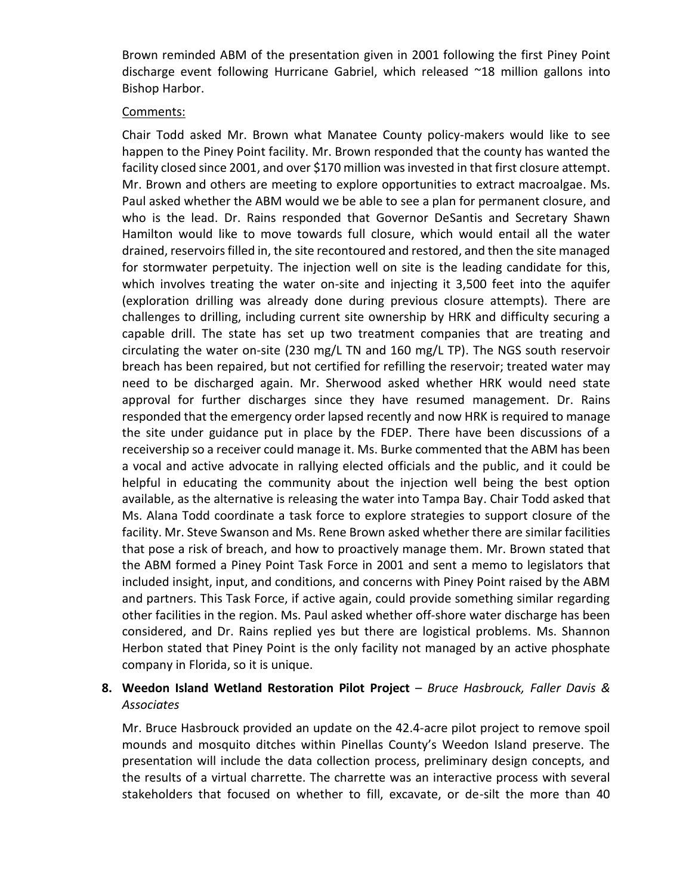Brown reminded ABM of the presentation given in 2001 following the first Piney Point discharge event following Hurricane Gabriel, which released ~18 million gallons into Bishop Harbor.

#### Comments:

Chair Todd asked Mr. Brown what Manatee County policy-makers would like to see happen to the Piney Point facility. Mr. Brown responded that the county has wanted the facility closed since 2001, and over \$170 million was invested in that first closure attempt. Mr. Brown and others are meeting to explore opportunities to extract macroalgae. Ms. Paul asked whether the ABM would we be able to see a plan for permanent closure, and who is the lead. Dr. Rains responded that Governor DeSantis and Secretary Shawn Hamilton would like to move towards full closure, which would entail all the water drained, reservoirsfilled in, the site recontoured and restored, and then the site managed for stormwater perpetuity. The injection well on site is the leading candidate for this, which involves treating the water on-site and injecting it 3,500 feet into the aquifer (exploration drilling was already done during previous closure attempts). There are challenges to drilling, including current site ownership by HRK and difficulty securing a capable drill. The state has set up two treatment companies that are treating and circulating the water on-site (230 mg/L TN and 160 mg/L TP). The NGS south reservoir breach has been repaired, but not certified for refilling the reservoir; treated water may need to be discharged again. Mr. Sherwood asked whether HRK would need state approval for further discharges since they have resumed management. Dr. Rains responded that the emergency order lapsed recently and now HRK is required to manage the site under guidance put in place by the FDEP. There have been discussions of a receivership so a receiver could manage it. Ms. Burke commented that the ABM has been a vocal and active advocate in rallying elected officials and the public, and it could be helpful in educating the community about the injection well being the best option available, as the alternative is releasing the water into Tampa Bay. Chair Todd asked that Ms. Alana Todd coordinate a task force to explore strategies to support closure of the facility. Mr. Steve Swanson and Ms. Rene Brown asked whether there are similar facilities that pose a risk of breach, and how to proactively manage them. Mr. Brown stated that the ABM formed a Piney Point Task Force in 2001 and sent a memo to legislators that included insight, input, and conditions, and concerns with Piney Point raised by the ABM and partners. This Task Force, if active again, could provide something similar regarding other facilities in the region. Ms. Paul asked whether off-shore water discharge has been considered, and Dr. Rains replied yes but there are logistical problems. Ms. Shannon Herbon stated that Piney Point is the only facility not managed by an active phosphate company in Florida, so it is unique.

# **8. Weedon Island Wetland Restoration Pilot Project** – *Bruce Hasbrouck, Faller Davis & Associates*

Mr. Bruce Hasbrouck provided an update on the 42.4-acre pilot project to remove spoil mounds and mosquito ditches within Pinellas County's Weedon Island preserve. The presentation will include the data collection process, preliminary design concepts, and the results of a virtual charrette. The charrette was an interactive process with several stakeholders that focused on whether to fill, excavate, or de-silt the more than 40